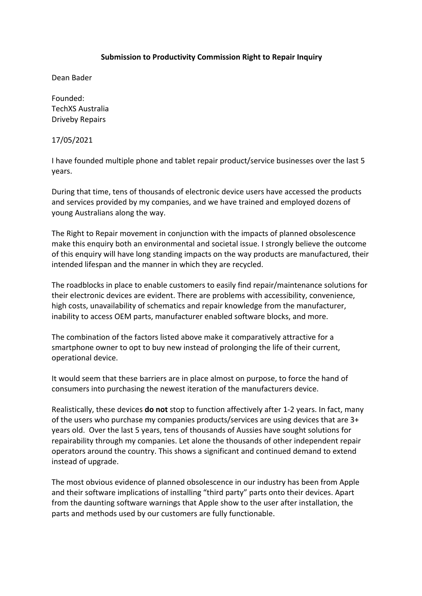## **Submission to Productivity Commission Right to Repair Inquiry**

Dean Bader

Founded: TechXS Australia Driveby Repairs

17/05/2021

I have founded multiple phone and tablet repair product/service businesses over the last 5 years.

During that time, tens of thousands of electronic device users have accessed the products and services provided by my companies, and we have trained and employed dozens of young Australians along the way.

The Right to Repair movement in conjunction with the impacts of planned obsolescence make this enquiry both an environmental and societal issue. I strongly believe the outcome of this enquiry will have long standing impacts on the way products are manufactured, their intended lifespan and the manner in which they are recycled.

The roadblocks in place to enable customers to easily find repair/maintenance solutions for their electronic devices are evident. There are problems with accessibility, convenience, high costs, unavailability of schematics and repair knowledge from the manufacturer, inability to access OEM parts, manufacturer enabled software blocks, and more.

The combination of the factors listed above make it comparatively attractive for a smartphone owner to opt to buy new instead of prolonging the life of their current, operational device.

It would seem that these barriers are in place almost on purpose, to force the hand of consumers into purchasing the newest iteration of the manufacturers device.

Realistically, these devices **do not** stop to function affectively after 1-2 years. In fact, many of the users who purchase my companies products/services are using devices that are 3+ years old. Over the last 5 years, tens of thousands of Aussies have sought solutions for repairability through my companies. Let alone the thousands of other independent repair operators around the country. This shows a significant and continued demand to extend instead of upgrade.

The most obvious evidence of planned obsolescence in our industry has been from Apple and their software implications of installing "third party" parts onto their devices. Apart from the daunting software warnings that Apple show to the user after installation, the parts and methods used by our customers are fully functionable.